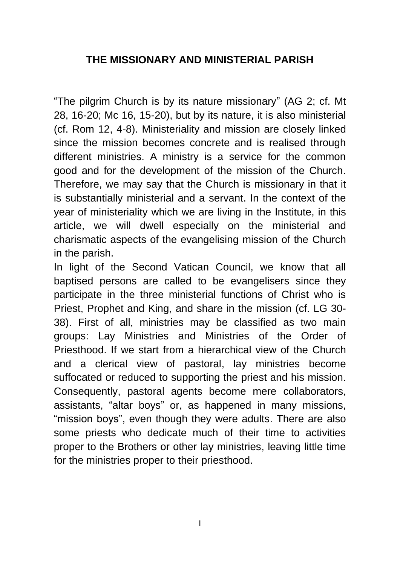## **THE MISSIONARY AND MINISTERIAL PARISH**

"The pilgrim Church is by its nature missionary" (AG 2; cf. Mt 28, 16-20; Mc 16, 15-20), but by its nature, it is also ministerial (cf. Rom 12, 4-8). Ministeriality and mission are closely linked since the mission becomes concrete and is realised through different ministries. A ministry is a service for the common good and for the development of the mission of the Church. Therefore, we may say that the Church is missionary in that it is substantially ministerial and a servant. In the context of the year of ministeriality which we are living in the Institute, in this article, we will dwell especially on the ministerial and charismatic aspects of the evangelising mission of the Church in the parish.

In light of the Second Vatican Council, we know that all baptised persons are called to be evangelisers since they participate in the three ministerial functions of Christ who is Priest, Prophet and King, and share in the mission (cf. LG 30- 38). First of all, ministries may be classified as two main groups: Lay Ministries and Ministries of the Order of Priesthood. If we start from a hierarchical view of the Church and a clerical view of pastoral, lay ministries become suffocated or reduced to supporting the priest and his mission. Consequently, pastoral agents become mere collaborators, assistants, "altar boys" or, as happened in many missions, "mission boys", even though they were adults. There are also some priests who dedicate much of their time to activities proper to the Brothers or other lay ministries, leaving little time for the ministries proper to their priesthood.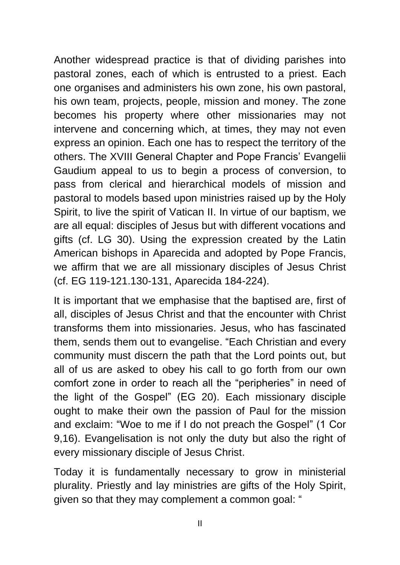Another widespread practice is that of dividing parishes into pastoral zones, each of which is entrusted to a priest. Each one organises and administers his own zone, his own pastoral, his own team, projects, people, mission and money. The zone becomes his property where other missionaries may not intervene and concerning which, at times, they may not even express an opinion. Each one has to respect the territory of the others. The XVIII General Chapter and Pope Francis' Evangelii Gaudium appeal to us to begin a process of conversion, to pass from clerical and hierarchical models of mission and pastoral to models based upon ministries raised up by the Holy Spirit, to live the spirit of Vatican II. In virtue of our baptism, we are all equal: disciples of Jesus but with different vocations and gifts (cf. LG 30). Using the expression created by the Latin American bishops in Aparecida and adopted by Pope Francis, we affirm that we are all missionary disciples of Jesus Christ (cf. EG 119-121.130-131, Aparecida 184-224).

It is important that we emphasise that the baptised are, first of all, disciples of Jesus Christ and that the encounter with Christ transforms them into missionaries. Jesus, who has fascinated them, sends them out to evangelise. "Each Christian and every community must discern the path that the Lord points out, but all of us are asked to obey his call to go forth from our own comfort zone in order to reach all the "peripheries" in need of the light of the Gospel" (EG 20). Each missionary disciple ought to make their own the passion of Paul for the mission and exclaim: "Woe to me if I do not preach the Gospel" (1 Cor 9,16). Evangelisation is not only the duty but also the right of every missionary disciple of Jesus Christ.

Today it is fundamentally necessary to grow in ministerial plurality. Priestly and lay ministries are gifts of the Holy Spirit, given so that they may complement a common goal: "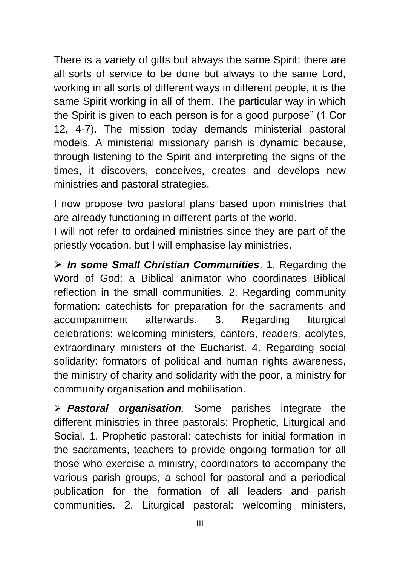There is a variety of gifts but always the same Spirit; there are all sorts of service to be done but always to the same Lord, working in all sorts of different ways in different people, it is the same Spirit working in all of them. The particular way in which the Spirit is given to each person is for a good purpose" (1 Cor 12, 4-7). The mission today demands ministerial pastoral models. A ministerial missionary parish is dynamic because, through listening to the Spirit and interpreting the signs of the times, it discovers, conceives, creates and develops new ministries and pastoral strategies.

I now propose two pastoral plans based upon ministries that are already functioning in different parts of the world.

I will not refer to ordained ministries since they are part of the priestly vocation, but I will emphasise lay ministries.

➢ *In some Small Christian Communities*. 1. Regarding the Word of God: a Biblical animator who coordinates Biblical reflection in the small communities. 2. Regarding community formation: catechists for preparation for the sacraments and accompaniment afterwards. 3. Regarding liturgical celebrations: welcoming ministers, cantors, readers, acolytes, extraordinary ministers of the Eucharist. 4. Regarding social solidarity: formators of political and human rights awareness, the ministry of charity and solidarity with the poor, a ministry for community organisation and mobilisation.

➢ *Pastoral organisation*. Some parishes integrate the different ministries in three pastorals: Prophetic, Liturgical and Social. 1. Prophetic pastoral: catechists for initial formation in the sacraments, teachers to provide ongoing formation for all those who exercise a ministry, coordinators to accompany the various parish groups, a school for pastoral and a periodical publication for the formation of all leaders and parish communities. 2. Liturgical pastoral: welcoming ministers,